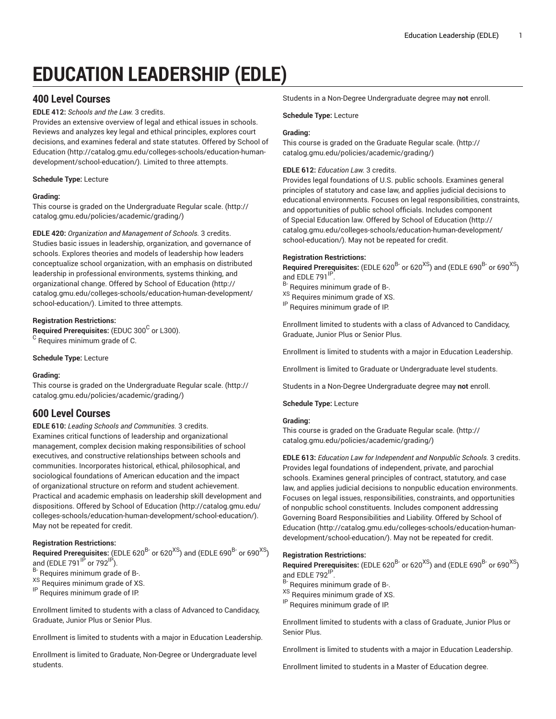# **EDUCATION LEADERSHIP (EDLE)**

# **400 Level Courses**

**EDLE 412:** *Schools and the Law.* 3 credits.

Provides an extensive overview of legal and ethical issues in schools. Reviews and analyzes key legal and ethical principles, explores court decisions, and examines federal and state statutes. Offered by [School of](http://catalog.gmu.edu/colleges-schools/education-human-development/school-education/) [Education](http://catalog.gmu.edu/colleges-schools/education-human-development/school-education/) ([http://catalog.gmu.edu/colleges-schools/education-human](http://catalog.gmu.edu/colleges-schools/education-human-development/school-education/)[development/school-education/](http://catalog.gmu.edu/colleges-schools/education-human-development/school-education/)). Limited to three attempts.

# **Schedule Type:** Lecture

# **Grading:**

This course is graded on the [Undergraduate](http://catalog.gmu.edu/policies/academic/grading/) Regular scale. ([http://](http://catalog.gmu.edu/policies/academic/grading/) [catalog.gmu.edu/policies/academic/grading/\)](http://catalog.gmu.edu/policies/academic/grading/)

**EDLE 420:** *Organization and Management of Schools.* 3 credits. Studies basic issues in leadership, organization, and governance of schools. Explores theories and models of leadership how leaders conceptualize school organization, with an emphasis on distributed leadership in professional environments, systems thinking, and organizational change. Offered by School of [Education](http://catalog.gmu.edu/colleges-schools/education-human-development/school-education/) ([http://](http://catalog.gmu.edu/colleges-schools/education-human-development/school-education/) [catalog.gmu.edu/colleges-schools/education-human-development/](http://catalog.gmu.edu/colleges-schools/education-human-development/school-education/) [school-education/](http://catalog.gmu.edu/colleges-schools/education-human-development/school-education/)). Limited to three attempts.

# **Registration Restrictions:**

**Required Prerequisites:** (EDUC 300<sup>C</sup> or L300).  $^{\rm C}$  Requires minimum grade of C.

**Schedule Type:** Lecture

# **Grading:**

This course is graded on the [Undergraduate](http://catalog.gmu.edu/policies/academic/grading/) Regular scale. ([http://](http://catalog.gmu.edu/policies/academic/grading/) [catalog.gmu.edu/policies/academic/grading/\)](http://catalog.gmu.edu/policies/academic/grading/)

# **600 Level Courses**

**EDLE 610:** *Leading Schools and Communities.* 3 credits. Examines critical functions of leadership and organizational management, complex decision making responsibilities of school executives, and constructive relationships between schools and communities. Incorporates historical, ethical, philosophical, and sociological foundations of American education and the impact of organizational structure on reform and student achievement. Practical and academic emphasis on leadership skill development and dispositions. Offered by School of [Education](http://catalog.gmu.edu/colleges-schools/education-human-development/school-education/) [\(http://catalog.gmu.edu/](http://catalog.gmu.edu/colleges-schools/education-human-development/school-education/) [colleges-schools/education-human-development/school-education/](http://catalog.gmu.edu/colleges-schools/education-human-development/school-education/)). May not be repeated for credit.

# **Registration Restrictions:**

Required Prerequisites: (EDLE 620<sup>B-</sup> or 620<sup>XS</sup>) and (EDLE 690<sup>B-</sup> or 690<sup>XS</sup>) and (EDLE 791 $\overline{P}$  or 792 $\overline{P}$ ).

<sup>B-</sup> Requires minimum grade of B-.

XS Requires minimum grade of XS.

IP Requires minimum grade of IP.

Enrollment limited to students with a class of Advanced to Candidacy, Graduate, Junior Plus or Senior Plus.

Enrollment is limited to students with a major in Education Leadership.

Enrollment is limited to Graduate, Non-Degree or Undergraduate level students.

Students in a Non-Degree Undergraduate degree may **not** enroll.

#### **Schedule Type:** Lecture

# **Grading:**

This course is graded on the [Graduate Regular scale.](http://catalog.gmu.edu/policies/academic/grading/) ([http://](http://catalog.gmu.edu/policies/academic/grading/) [catalog.gmu.edu/policies/academic/grading/](http://catalog.gmu.edu/policies/academic/grading/))

# **EDLE 612:** *Education Law.* 3 credits.

Provides legal foundations of U.S. public schools. Examines general principles of statutory and case law, and applies judicial decisions to educational environments. Focuses on legal responsibilities, constraints, and opportunities of public school officials. Includes component of Special Education law. Offered by School of [Education \(http://](http://catalog.gmu.edu/colleges-schools/education-human-development/school-education/) [catalog.gmu.edu/colleges-schools/education-human-development/](http://catalog.gmu.edu/colleges-schools/education-human-development/school-education/) [school-education/\)](http://catalog.gmu.edu/colleges-schools/education-human-development/school-education/). May not be repeated for credit.

# **Registration Restrictions:**

**Required Prerequisites:** (EDLE 620<sup>B-</sup> or 620<sup>XS</sup>) and (EDLE 690<sup>B-</sup> or 690<sup>XS</sup>) and EDLE 791<sup>IP</sup> .

- B- Requires minimum grade of B-.
- XS Requires minimum grade of XS.
- IP Requires minimum grade of IP.

Enrollment limited to students with a class of Advanced to Candidacy, Graduate, Junior Plus or Senior Plus.

Enrollment is limited to students with a major in Education Leadership.

Enrollment is limited to Graduate or Undergraduate level students.

Students in a Non-Degree Undergraduate degree may **not** enroll.

**Schedule Type:** Lecture

# **Grading:**

This course is graded on the [Graduate Regular scale.](http://catalog.gmu.edu/policies/academic/grading/) ([http://](http://catalog.gmu.edu/policies/academic/grading/) [catalog.gmu.edu/policies/academic/grading/](http://catalog.gmu.edu/policies/academic/grading/))

**EDLE 613:** *Education Law for Independent and Nonpublic Schools.* 3 credits. Provides legal foundations of independent, private, and parochial schools. Examines general principles of contract, statutory, and case law, and applies judicial decisions to nonpublic education environments. Focuses on legal issues, responsibilities, constraints, and opportunities of nonpublic school constituents. Includes component addressing Governing Board Responsibilities and Liability. Offered by [School of](http://catalog.gmu.edu/colleges-schools/education-human-development/school-education/) [Education \(http://catalog.gmu.edu/colleges-schools/education-human](http://catalog.gmu.edu/colleges-schools/education-human-development/school-education/)[development/school-education/\)](http://catalog.gmu.edu/colleges-schools/education-human-development/school-education/). May not be repeated for credit.

# **Registration Restrictions:**

**Required Prerequisites:** (EDLE 620<sup>B-</sup> or 620<sup>XS</sup>) and (EDLE 690<sup>B-</sup> or 690<sup>XS</sup>) and EDLE 792<sup>IP</sup>.

B- Requires minimum grade of B-.

- XS Requires minimum grade of XS.
- IP Requires minimum grade of IP.

Enrollment limited to students with a class of Graduate, Junior Plus or Senior Plus.

Enrollment is limited to students with a major in Education Leadership.

Enrollment limited to students in a Master of Education degree.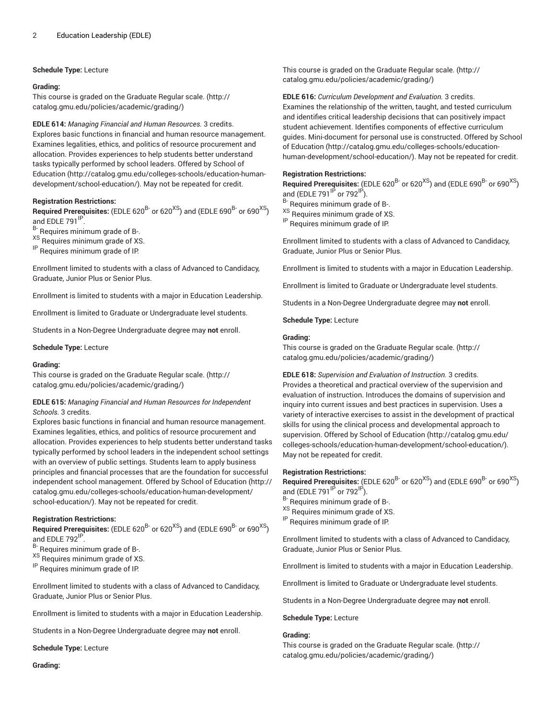#### **Schedule Type:** Lecture

#### **Grading:**

This course is graded on the [Graduate Regular scale.](http://catalog.gmu.edu/policies/academic/grading/) [\(http://](http://catalog.gmu.edu/policies/academic/grading/) [catalog.gmu.edu/policies/academic/grading/\)](http://catalog.gmu.edu/policies/academic/grading/)

**EDLE 614:** *Managing Financial and Human Resources.* 3 credits. Explores basic functions in financial and human resource management. Examines legalities, ethics, and politics of resource procurement and

allocation. Provides experiences to help students better understand tasks typically performed by school leaders. Offered by [School of](http://catalog.gmu.edu/colleges-schools/education-human-development/school-education/) [Education](http://catalog.gmu.edu/colleges-schools/education-human-development/school-education/) ([http://catalog.gmu.edu/colleges-schools/education-human](http://catalog.gmu.edu/colleges-schools/education-human-development/school-education/)[development/school-education/](http://catalog.gmu.edu/colleges-schools/education-human-development/school-education/)). May not be repeated for credit.

#### **Registration Restrictions:**

**Required Prerequisites:** (EDLE 620<sup>B-</sup> or 620<sup>XS</sup>) and (EDLE 690<sup>B-</sup> or 690<sup>XS</sup>) and EDLE 791<sup>IP</sup>.

B- Requires minimum grade of B-.

XS Requires minimum grade of XS.

IP Requires minimum grade of IP.

Enrollment limited to students with a class of Advanced to Candidacy, Graduate, Junior Plus or Senior Plus.

Enrollment is limited to students with a major in Education Leadership.

Enrollment is limited to Graduate or Undergraduate level students.

Students in a Non-Degree Undergraduate degree may **not** enroll.

#### **Schedule Type:** Lecture

#### **Grading:**

This course is graded on the [Graduate Regular scale.](http://catalog.gmu.edu/policies/academic/grading/) [\(http://](http://catalog.gmu.edu/policies/academic/grading/) [catalog.gmu.edu/policies/academic/grading/\)](http://catalog.gmu.edu/policies/academic/grading/)

# **EDLE 615:** *Managing Financial and Human Resources for Independent Schools.* 3 credits.

Explores basic functions in financial and human resource management. Examines legalities, ethics, and politics of resource procurement and allocation. Provides experiences to help students better understand tasks typically performed by school leaders in the independent school settings with an overview of public settings. Students learn to apply business principles and financial processes that are the foundation for successful independent school management. Offered by School of [Education \(http://](http://catalog.gmu.edu/colleges-schools/education-human-development/school-education/) [catalog.gmu.edu/colleges-schools/education-human-development/](http://catalog.gmu.edu/colleges-schools/education-human-development/school-education/) [school-education/](http://catalog.gmu.edu/colleges-schools/education-human-development/school-education/)). May not be repeated for credit.

# **Registration Restrictions:**

**Required Prerequisites:** (EDLE 620<sup>B-</sup> or 620<sup>XS</sup>) and (EDLE 690<sup>B-</sup> or 690<sup>XS</sup>) and EDLE 792<sup>IP</sup>.

- <sup>B-</sup> Requires minimum grade of B-.
- XS Requires minimum grade of XS.

IP Requires minimum grade of IP.

Enrollment limited to students with a class of Advanced to Candidacy, Graduate, Junior Plus or Senior Plus.

Enrollment is limited to students with a major in Education Leadership.

Students in a Non-Degree Undergraduate degree may **not** enroll.

**Schedule Type:** Lecture

This course is graded on the [Graduate Regular scale.](http://catalog.gmu.edu/policies/academic/grading/) ([http://](http://catalog.gmu.edu/policies/academic/grading/) [catalog.gmu.edu/policies/academic/grading/](http://catalog.gmu.edu/policies/academic/grading/))

**EDLE 616:** *Curriculum Development and Evaluation.* 3 credits. Examines the relationship of the written, taught, and tested curriculum and identifies critical leadership decisions that can positively impact student achievement. Identifies components of effective curriculum guides. Mini-document for personal use is constructed. Offered by [School](http://catalog.gmu.edu/colleges-schools/education-human-development/school-education/) of [Education \(http://catalog.gmu.edu/colleges-schools/education](http://catalog.gmu.edu/colleges-schools/education-human-development/school-education/)[human-development/school-education/\)](http://catalog.gmu.edu/colleges-schools/education-human-development/school-education/). May not be repeated for credit.

#### **Registration Restrictions:**

Required Prerequisites: (EDLE 620<sup>B-</sup> or 620<sup>XS</sup>) and (EDLE 690<sup>B-</sup> or 690<sup>XS</sup>) and (EDLE 791 $\text{^{IP}}$  or 792 $\text{^{IP}}$ ).

Requires minimum grade of B-.

XS Requires minimum grade of XS.

IP Requires minimum grade of IP.

Enrollment limited to students with a class of Advanced to Candidacy, Graduate, Junior Plus or Senior Plus.

Enrollment is limited to students with a major in Education Leadership.

Enrollment is limited to Graduate or Undergraduate level students.

Students in a Non-Degree Undergraduate degree may **not** enroll.

#### **Schedule Type:** Lecture

#### **Grading:**

This course is graded on the [Graduate Regular scale.](http://catalog.gmu.edu/policies/academic/grading/) ([http://](http://catalog.gmu.edu/policies/academic/grading/) [catalog.gmu.edu/policies/academic/grading/](http://catalog.gmu.edu/policies/academic/grading/))

**EDLE 618:** *Supervision and Evaluation of Instruction.* 3 credits. Provides a theoretical and practical overview of the supervision and evaluation of instruction. Introduces the domains of supervision and inquiry into current issues and best practices in supervision. Uses a variety of interactive exercises to assist in the development of practical skills for using the clinical process and developmental approach to supervision. Offered by School of [Education](http://catalog.gmu.edu/colleges-schools/education-human-development/school-education/) [\(http://catalog.gmu.edu/](http://catalog.gmu.edu/colleges-schools/education-human-development/school-education/) [colleges-schools/education-human-development/school-education/](http://catalog.gmu.edu/colleges-schools/education-human-development/school-education/)). May not be repeated for credit.

# **Registration Restrictions:**

**Required Prerequisites:** (EDLE 620<sup>B-</sup> or 620<sup>XS</sup>) and (EDLE 690<sup>B-</sup> or 690<sup>XS</sup>) and (EDLE 791 $\rm{P}$  or 792 $\rm{P}$ ).

B- Requires minimum grade of B-.

XS Requires minimum grade of XS.

IP Requires minimum grade of IP.

Enrollment limited to students with a class of Advanced to Candidacy, Graduate, Junior Plus or Senior Plus.

Enrollment is limited to students with a major in Education Leadership.

Enrollment is limited to Graduate or Undergraduate level students.

Students in a Non-Degree Undergraduate degree may **not** enroll.

**Schedule Type:** Lecture

# **Grading:**

This course is graded on the [Graduate Regular scale.](http://catalog.gmu.edu/policies/academic/grading/) ([http://](http://catalog.gmu.edu/policies/academic/grading/) [catalog.gmu.edu/policies/academic/grading/](http://catalog.gmu.edu/policies/academic/grading/))

**Grading:**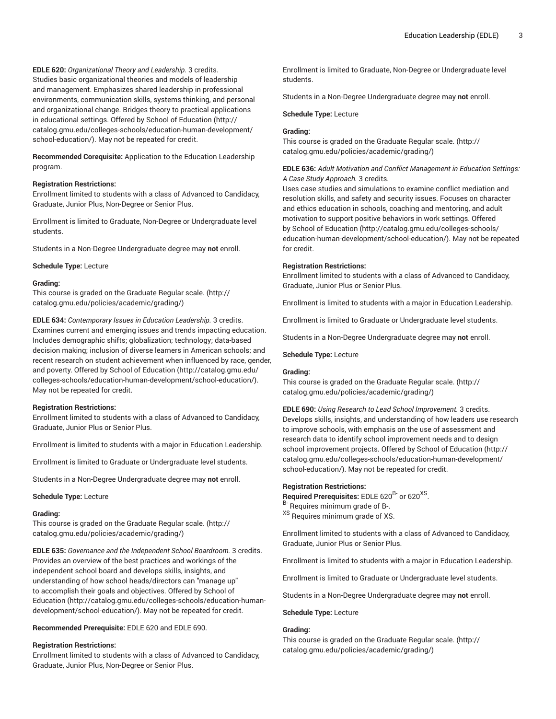**EDLE 620:** *Organizational Theory and Leadership.* 3 credits. Studies basic organizational theories and models of leadership and management. Emphasizes shared leadership in professional environments, communication skills, systems thinking, and personal and organizational change. Bridges theory to practical applications in educational settings. Offered by School of [Education](http://catalog.gmu.edu/colleges-schools/education-human-development/school-education/) ([http://](http://catalog.gmu.edu/colleges-schools/education-human-development/school-education/) [catalog.gmu.edu/colleges-schools/education-human-development/](http://catalog.gmu.edu/colleges-schools/education-human-development/school-education/) [school-education/](http://catalog.gmu.edu/colleges-schools/education-human-development/school-education/)). May not be repeated for credit.

**Recommended Corequisite:** Application to the Education Leadership program.

#### **Registration Restrictions:**

Enrollment limited to students with a class of Advanced to Candidacy, Graduate, Junior Plus, Non-Degree or Senior Plus.

Enrollment is limited to Graduate, Non-Degree or Undergraduate level students.

Students in a Non-Degree Undergraduate degree may **not** enroll.

**Schedule Type:** Lecture

#### **Grading:**

This course is graded on the [Graduate Regular scale.](http://catalog.gmu.edu/policies/academic/grading/) [\(http://](http://catalog.gmu.edu/policies/academic/grading/) [catalog.gmu.edu/policies/academic/grading/\)](http://catalog.gmu.edu/policies/academic/grading/)

**EDLE 634:** *Contemporary Issues in Education Leadership.* 3 credits. Examines current and emerging issues and trends impacting education. Includes demographic shifts; globalization; technology; data-based decision making; inclusion of diverse learners in American schools; and recent research on student achievement when influenced by race, gender, and poverty. Offered by School of [Education](http://catalog.gmu.edu/colleges-schools/education-human-development/school-education/) ([http://catalog.gmu.edu/](http://catalog.gmu.edu/colleges-schools/education-human-development/school-education/) [colleges-schools/education-human-development/school-education/](http://catalog.gmu.edu/colleges-schools/education-human-development/school-education/)). May not be repeated for credit.

# **Registration Restrictions:**

Enrollment limited to students with a class of Advanced to Candidacy, Graduate, Junior Plus or Senior Plus.

Enrollment is limited to students with a major in Education Leadership.

Enrollment is limited to Graduate or Undergraduate level students.

Students in a Non-Degree Undergraduate degree may **not** enroll.

**Schedule Type:** Lecture

#### **Grading:**

This course is graded on the [Graduate Regular scale.](http://catalog.gmu.edu/policies/academic/grading/) [\(http://](http://catalog.gmu.edu/policies/academic/grading/) [catalog.gmu.edu/policies/academic/grading/\)](http://catalog.gmu.edu/policies/academic/grading/)

**EDLE 635:** *Governance and the Independent School Boardroom.* 3 credits. Provides an overview of the best practices and workings of the independent school board and develops skills, insights, and understanding of how school heads/directors can "manage up" to accomplish their goals and objectives. Offered by [School of](http://catalog.gmu.edu/colleges-schools/education-human-development/school-education/) [Education](http://catalog.gmu.edu/colleges-schools/education-human-development/school-education/) ([http://catalog.gmu.edu/colleges-schools/education-human](http://catalog.gmu.edu/colleges-schools/education-human-development/school-education/)[development/school-education/](http://catalog.gmu.edu/colleges-schools/education-human-development/school-education/)). May not be repeated for credit.

**Recommended Prerequisite:** EDLE 620 and EDLE 690.

# **Registration Restrictions:**

Enrollment limited to students with a class of Advanced to Candidacy, Graduate, Junior Plus, Non-Degree or Senior Plus.

Enrollment is limited to Graduate, Non-Degree or Undergraduate level students.

Students in a Non-Degree Undergraduate degree may **not** enroll.

**Schedule Type:** Lecture

# **Grading:**

This course is graded on the [Graduate Regular scale.](http://catalog.gmu.edu/policies/academic/grading/) ([http://](http://catalog.gmu.edu/policies/academic/grading/) [catalog.gmu.edu/policies/academic/grading/](http://catalog.gmu.edu/policies/academic/grading/))

# **EDLE 636:** *Adult Motivation and Conflict Management in Education Settings: A Case Study Approach.* 3 credits.

Uses case studies and simulations to examine conflict mediation and resolution skills, and safety and security issues. Focuses on character and ethics education in schools, coaching and mentoring, and adult motivation to support positive behaviors in work settings. Offered by School of [Education](http://catalog.gmu.edu/colleges-schools/education-human-development/school-education/) ([http://catalog.gmu.edu/colleges-schools/](http://catalog.gmu.edu/colleges-schools/education-human-development/school-education/) [education-human-development/school-education/\)](http://catalog.gmu.edu/colleges-schools/education-human-development/school-education/). May not be repeated for credit.

# **Registration Restrictions:**

Enrollment limited to students with a class of Advanced to Candidacy, Graduate, Junior Plus or Senior Plus.

Enrollment is limited to students with a major in Education Leadership.

Enrollment is limited to Graduate or Undergraduate level students.

Students in a Non-Degree Undergraduate degree may **not** enroll.

**Schedule Type:** Lecture

# **Grading:**

This course is graded on the [Graduate Regular scale.](http://catalog.gmu.edu/policies/academic/grading/) ([http://](http://catalog.gmu.edu/policies/academic/grading/) [catalog.gmu.edu/policies/academic/grading/](http://catalog.gmu.edu/policies/academic/grading/))

**EDLE 690:** *Using Research to Lead School Improvement.* 3 credits. Develops skills, insights, and understanding of how leaders use research to improve schools, with emphasis on the use of assessment and research data to identify school improvement needs and to design school improvement projects. Offered by School of [Education \(http://](http://catalog.gmu.edu/colleges-schools/education-human-development/school-education/) [catalog.gmu.edu/colleges-schools/education-human-development/](http://catalog.gmu.edu/colleges-schools/education-human-development/school-education/) [school-education/\)](http://catalog.gmu.edu/colleges-schools/education-human-development/school-education/). May not be repeated for credit.

# **Registration Restrictions:**

Required Prerequisites: EDLE 620<sup>B-</sup> or 620<sup>XS</sup>.

B- Requires minimum grade of B-.

<sup>XS</sup> Requires minimum grade of XS.

Enrollment limited to students with a class of Advanced to Candidacy, Graduate, Junior Plus or Senior Plus.

Enrollment is limited to students with a major in Education Leadership.

Enrollment is limited to Graduate or Undergraduate level students.

Students in a Non-Degree Undergraduate degree may **not** enroll.

**Schedule Type:** Lecture

#### **Grading:**

This course is graded on the [Graduate Regular scale.](http://catalog.gmu.edu/policies/academic/grading/) ([http://](http://catalog.gmu.edu/policies/academic/grading/) [catalog.gmu.edu/policies/academic/grading/](http://catalog.gmu.edu/policies/academic/grading/))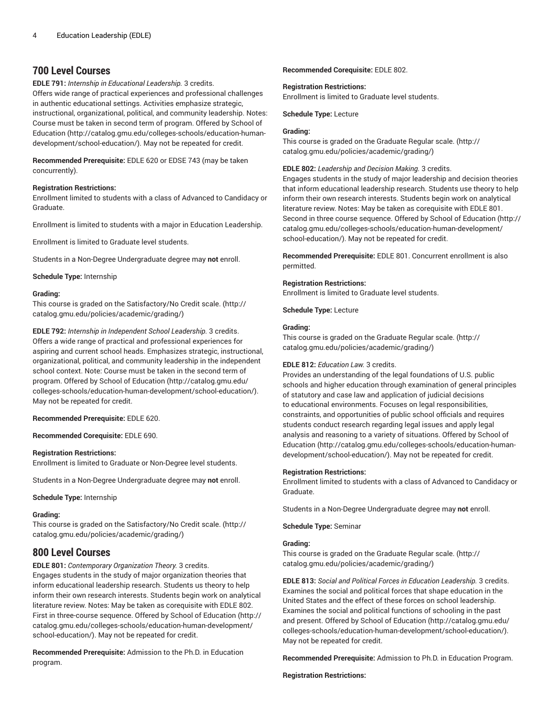# **700 Level Courses**

**EDLE 791:** *Internship in Educational Leadership.* 3 credits.

Offers wide range of practical experiences and professional challenges in authentic educational settings. Activities emphasize strategic, instructional, organizational, political, and community leadership. Notes: Course must be taken in second term of program. Offered by [School of](http://catalog.gmu.edu/colleges-schools/education-human-development/school-education/) [Education](http://catalog.gmu.edu/colleges-schools/education-human-development/school-education/) ([http://catalog.gmu.edu/colleges-schools/education-human](http://catalog.gmu.edu/colleges-schools/education-human-development/school-education/)[development/school-education/](http://catalog.gmu.edu/colleges-schools/education-human-development/school-education/)). May not be repeated for credit.

**Recommended Prerequisite:** EDLE 620 or EDSE 743 (may be taken concurrently).

# **Registration Restrictions:**

Enrollment limited to students with a class of Advanced to Candidacy or Graduate.

Enrollment is limited to students with a major in Education Leadership.

Enrollment is limited to Graduate level students.

Students in a Non-Degree Undergraduate degree may **not** enroll.

**Schedule Type:** Internship

# **Grading:**

This course is graded on the [Satisfactory/No](http://catalog.gmu.edu/policies/academic/grading/) Credit scale. ([http://](http://catalog.gmu.edu/policies/academic/grading/) [catalog.gmu.edu/policies/academic/grading/\)](http://catalog.gmu.edu/policies/academic/grading/)

**EDLE 792:** *Internship in Independent School Leadership.* 3 credits. Offers a wide range of practical and professional experiences for aspiring and current school heads. Emphasizes strategic, instructional, organizational, political, and community leadership in the independent school context. Note: Course must be taken in the second term of program. Offered by School of [Education](http://catalog.gmu.edu/colleges-schools/education-human-development/school-education/) ([http://catalog.gmu.edu/](http://catalog.gmu.edu/colleges-schools/education-human-development/school-education/) [colleges-schools/education-human-development/school-education/](http://catalog.gmu.edu/colleges-schools/education-human-development/school-education/)). May not be repeated for credit.

# **Recommended Prerequisite:** EDLE 620.

# **Recommended Corequisite:** EDLE 690.

# **Registration Restrictions:**

Enrollment is limited to Graduate or Non-Degree level students.

Students in a Non-Degree Undergraduate degree may **not** enroll.

**Schedule Type:** Internship

# **Grading:**

This course is graded on the [Satisfactory/No](http://catalog.gmu.edu/policies/academic/grading/) Credit scale. ([http://](http://catalog.gmu.edu/policies/academic/grading/) [catalog.gmu.edu/policies/academic/grading/\)](http://catalog.gmu.edu/policies/academic/grading/)

# **800 Level Courses**

**EDLE 801:** *Contemporary Organization Theory.* 3 credits. Engages students in the study of major organization theories that inform educational leadership research. Students us theory to help inform their own research interests. Students begin work on analytical literature review. Notes: May be taken as corequisite with EDLE 802. First in three-course sequence. Offered by School of [Education](http://catalog.gmu.edu/colleges-schools/education-human-development/school-education/) ([http://](http://catalog.gmu.edu/colleges-schools/education-human-development/school-education/) [catalog.gmu.edu/colleges-schools/education-human-development/](http://catalog.gmu.edu/colleges-schools/education-human-development/school-education/) [school-education/](http://catalog.gmu.edu/colleges-schools/education-human-development/school-education/)). May not be repeated for credit.

**Recommended Prerequisite:** Admission to the Ph.D. in Education program.

**Recommended Corequisite:** EDLE 802.

# **Registration Restrictions:**

Enrollment is limited to Graduate level students.

**Schedule Type:** Lecture

# **Grading:**

This course is graded on the [Graduate Regular scale.](http://catalog.gmu.edu/policies/academic/grading/) ([http://](http://catalog.gmu.edu/policies/academic/grading/) [catalog.gmu.edu/policies/academic/grading/](http://catalog.gmu.edu/policies/academic/grading/))

# **EDLE 802:** *Leadership and Decision Making.* 3 credits.

Engages students in the study of major leadership and decision theories that inform educational leadership research. Students use theory to help inform their own research interests. Students begin work on analytical literature review. Notes: May be taken as corequisite with EDLE 801. Second in three course sequence. Offered by School of [Education](http://catalog.gmu.edu/colleges-schools/education-human-development/school-education/) ([http://](http://catalog.gmu.edu/colleges-schools/education-human-development/school-education/) [catalog.gmu.edu/colleges-schools/education-human-development/](http://catalog.gmu.edu/colleges-schools/education-human-development/school-education/) [school-education/\)](http://catalog.gmu.edu/colleges-schools/education-human-development/school-education/). May not be repeated for credit.

**Recommended Prerequisite:** EDLE 801. Concurrent enrollment is also permitted.

# **Registration Restrictions:**

Enrollment is limited to Graduate level students.

**Schedule Type:** Lecture

# **Grading:**

This course is graded on the [Graduate Regular scale.](http://catalog.gmu.edu/policies/academic/grading/) ([http://](http://catalog.gmu.edu/policies/academic/grading/) [catalog.gmu.edu/policies/academic/grading/](http://catalog.gmu.edu/policies/academic/grading/))

# **EDLE 812:** *Education Law.* 3 credits.

Provides an understanding of the legal foundations of U.S. public schools and higher education through examination of general principles of statutory and case law and application of judicial decisions to educational environments. Focuses on legal responsibilities, constraints, and opportunities of public school officials and requires students conduct research regarding legal issues and apply legal analysis and reasoning to a variety of situations. Offered by [School of](http://catalog.gmu.edu/colleges-schools/education-human-development/school-education/) [Education \(http://catalog.gmu.edu/colleges-schools/education-human](http://catalog.gmu.edu/colleges-schools/education-human-development/school-education/)[development/school-education/\)](http://catalog.gmu.edu/colleges-schools/education-human-development/school-education/). May not be repeated for credit.

# **Registration Restrictions:**

Enrollment limited to students with a class of Advanced to Candidacy or Graduate.

Students in a Non-Degree Undergraduate degree may **not** enroll.

**Schedule Type:** Seminar

# **Grading:**

This course is graded on the [Graduate Regular scale.](http://catalog.gmu.edu/policies/academic/grading/) ([http://](http://catalog.gmu.edu/policies/academic/grading/) [catalog.gmu.edu/policies/academic/grading/](http://catalog.gmu.edu/policies/academic/grading/))

**EDLE 813:** *Social and Political Forces in Education Leadership.* 3 credits. Examines the social and political forces that shape education in the United States and the effect of these forces on school leadership. Examines the social and political functions of schooling in the past and present. Offered by School of [Education](http://catalog.gmu.edu/colleges-schools/education-human-development/school-education/) [\(http://catalog.gmu.edu/](http://catalog.gmu.edu/colleges-schools/education-human-development/school-education/) [colleges-schools/education-human-development/school-education/](http://catalog.gmu.edu/colleges-schools/education-human-development/school-education/)). May not be repeated for credit.

**Recommended Prerequisite:** Admission to Ph.D. in Education Program.

**Registration Restrictions:**